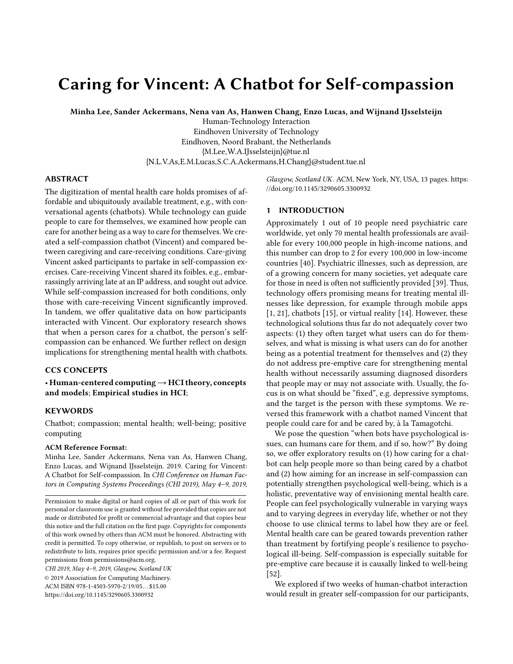# Caring for Vincent: A Chatbot for Self-compassion

Minha Lee, Sander Ackermans, Nena van As, Hanwen Chang, Enzo Lucas, and Wijnand IJsselsteijn

Human-Technology Interaction Eindhoven University of Technology Eindhoven, Noord Brabant, the Netherlands {M.Lee,W.A.IJsselsteijn}@tue.nl {N.L.V.As,E.M.Lucas,S.C.A.Ackermans,H.Chang}@student.tue.nl

## ABSTRACT

The digitization of mental health care holds promises of affordable and ubiquitously available treatment, e.g., with conversational agents (chatbots). While technology can guide people to care for themselves, we examined how people can care for another being as a way to care for themselves. We created a self-compassion chatbot (Vincent) and compared between caregiving and care-receiving conditions. Care-giving Vincent asked participants to partake in self-compassion exercises. Care-receiving Vincent shared its foibles, e.g., embarrassingly arriving late at an IP address, and sought out advice. While self-compassion increased for both conditions, only those with care-receiving Vincent significantly improved. In tandem, we offer qualitative data on how participants interacted with Vincent. Our exploratory research shows that when a person cares for a chatbot, the person's selfcompassion can be enhanced. We further reflect on design implications for strengthening mental health with chatbots.

# CCS CONCEPTS

• Human-centered computing→HCI theory, concepts and models; Empirical studies in HCI;

#### **KEYWORDS**

Chatbot; compassion; mental health; well-being; positive computing

## ACM Reference Format:

Minha Lee, Sander Ackermans, Nena van As, Hanwen Chang, Enzo Lucas, and Wijnand IJsselsteijn. 2019. Caring for Vincent: A Chatbot for Self-compassion. In CHI Conference on Human Factors in Computing Systems Proceedings (CHI 2019), May 4–9, 2019,

CHI 2019, May 4–9, 2019, Glasgow, Scotland UK

© 2019 Association for Computing Machinery.

ACM ISBN 978-1-4503-5970-2/19/05. . . \$15.00

<https://doi.org/10.1145/3290605.3300932>

Glasgow, Scotland UK. ACM, New York, NY, USA, [13](#page-12-0) pages. [https:](https://doi.org/10.1145/3290605.3300932) [//doi.org/10.1145/3290605.3300932](https://doi.org/10.1145/3290605.3300932)

#### 1 INTRODUCTION

Approximately 1 out of 10 people need psychiatric care worldwide, yet only 70 mental health professionals are available for every 100,000 people in high-income nations, and this number can drop to 2 for every 100,000 in low-income countries [\[40\]](#page-12-1). Psychiatric illnesses, such as depression, are of a growing concern for many societies, yet adequate care for those in need is often not sufficiently provided [\[39\]](#page-12-2). Thus, technology offers promising means for treating mental illnesses like depression, for example through mobile apps [\[1,](#page-10-0) [21\]](#page-11-0), chatbots [\[15\]](#page-11-1), or virtual reality [\[14\]](#page-11-2). However, these technological solutions thus far do not adequately cover two aspects: (1) they often target what users can do for themselves, and what is missing is what users can do for another being as a potential treatment for themselves and (2) they do not address pre-emptive care for strengthening mental health without necessarily assuming diagnosed disorders that people may or may not associate with. Usually, the focus is on what should be "fixed", e.g. depressive symptoms, and the target is the person with these symptoms. We reversed this framework with a chatbot named Vincent that people could care for and be cared by, à la Tamagotchi.

We pose the question "when bots have psychological issues, can humans care for them, and if so, how?" By doing so, we offer exploratory results on (1) how caring for a chatbot can help people more so than being cared by a chatbot and (2) how aiming for an increase in self-compassion can potentially strengthen psychological well-being, which is a holistic, preventative way of envisioning mental health care. People can feel psychologically vulnerable in varying ways and to varying degrees in everyday life, whether or not they choose to use clinical terms to label how they are or feel. Mental health care can be geared towards prevention rather than treatment by fortifying people's resilience to psychological ill-being. Self-compassion is especially suitable for pre-emptive care because it is causally linked to well-being [\[52\]](#page-12-3).

We explored if two weeks of human-chatbot interaction would result in greater self-compassion for our participants,

Permission to make digital or hard copies of all or part of this work for personal or classroom use is granted without fee provided that copies are not made or distributed for profit or commercial advantage and that copies bear this notice and the full citation on the first page. Copyrights for components of this work owned by others than ACM must be honored. Abstracting with credit is permitted. To copy otherwise, or republish, to post on servers or to redistribute to lists, requires prior specific permission and/or a fee. Request permissions from permissions@acm.org.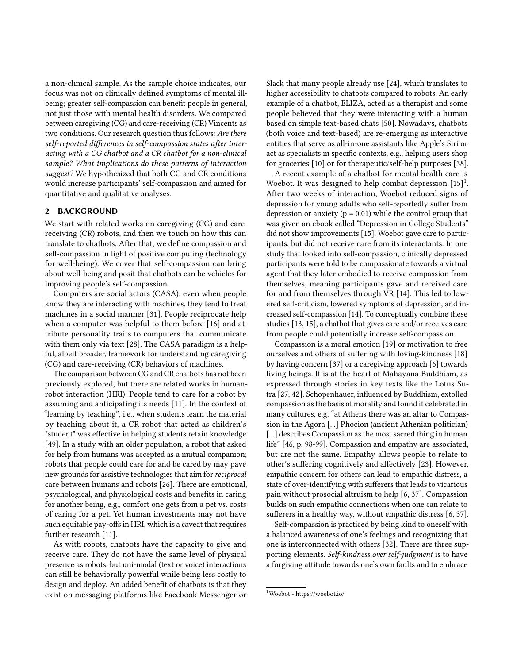a non-clinical sample. As the sample choice indicates, our focus was not on clinically defined symptoms of mental illbeing; greater self-compassion can benefit people in general, not just those with mental health disorders. We compared between caregiving (CG) and care-receiving (CR) Vincents as two conditions. Our research question thus follows: Are there self-reported differences in self-compassion states after interacting with a CG chatbot and a CR chatbot for a non-clinical sample? What implications do these patterns of interaction suggest? We hypothesized that both CG and CR conditions would increase participants' self-compassion and aimed for quantitative and qualitative analyses.

#### 2 BACKGROUND

We start with related works on caregiving (CG) and carereceiving (CR) robots, and then we touch on how this can translate to chatbots. After that, we define compassion and self-compassion in light of positive computing (technology for well-being). We cover that self-compassion can bring about well-being and posit that chatbots can be vehicles for improving people's self-compassion.

Computers are social actors (CASA); even when people know they are interacting with machines, they tend to treat machines in a social manner [\[31\]](#page-11-3). People reciprocate help when a computer was helpful to them before [\[16\]](#page-11-4) and attribute personality traits to computers that communicate with them only via text [\[28\]](#page-11-5). The CASA paradigm is a helpful, albeit broader, framework for understanding caregiving (CG) and care-receiving (CR) behaviors of machines.

The comparison between CG and CR chatbots has not been previously explored, but there are related works in humanrobot interaction (HRI). People tend to care for a robot by assuming and anticipating its needs [\[11\]](#page-11-6). In the context of "learning by teaching", i.e., when students learn the material by teaching about it, a CR robot that acted as children's "student" was effective in helping students retain knowledge [\[49\]](#page-12-4). In a study with an older population, a robot that asked for help from humans was accepted as a mutual companion; robots that people could care for and be cared by may pave new grounds for assistive technologies that aim for reciprocal care between humans and robots [\[26\]](#page-11-7). There are emotional, psychological, and physiological costs and benefits in caring for another being, e.g., comfort one gets from a pet vs. costs of caring for a pet. Yet human investments may not have such equitable pay-offs in HRI, which is a caveat that requires further research [\[11\]](#page-11-6).

As with robots, chatbots have the capacity to give and receive care. They do not have the same level of physical presence as robots, but uni-modal (text or voice) interactions can still be behaviorally powerful while being less costly to design and deploy. An added benefit of chatbots is that they exist on messaging platforms like Facebook Messenger or

Slack that many people already use [\[24\]](#page-11-8), which translates to higher accessibility to chatbots compared to robots. An early example of a chatbot, ELIZA, acted as a therapist and some people believed that they were interacting with a human based on simple text-based chats [\[50\]](#page-12-5). Nowadays, chatbots (both voice and text-based) are re-emerging as interactive entities that serve as all-in-one assistants like Apple's Siri or act as specialists in specific contexts, e.g., helping users shop for groceries [\[10\]](#page-11-9) or for therapeutic/self-help purposes [\[38\]](#page-11-10).

A recent example of a chatbot for mental health care is Woebot. It was designed to help combat depression [\[15\]](#page-11-1)<sup>[1](#page-1-0)</sup>. After two weeks of interaction, Woebot reduced signs of depression for young adults who self-reportedly suffer from depression or anxiety ( $p = 0.01$ ) while the control group that was given an ebook called "Depression in College Students" did not show improvements [\[15\]](#page-11-1). Woebot gave care to participants, but did not receive care from its interactants. In one study that looked into self-compassion, clinically depressed participants were told to be compassionate towards a virtual agent that they later embodied to receive compassion from themselves, meaning participants gave and received care for and from themselves through VR [\[14\]](#page-11-2). This led to lowered self-criticism, lowered symptoms of depression, and increased self-compassion [\[14\]](#page-11-2). To conceptually combine these studies [\[13,](#page-11-11) [15\]](#page-11-1), a chatbot that gives care and/or receives care from people could potentially increase self-compassion.

Compassion is a moral emotion [\[19\]](#page-11-12) or motivation to free ourselves and others of suffering with loving-kindness [\[18\]](#page-11-13) by having concern [\[37\]](#page-11-14) or a caregiving approach [\[6\]](#page-11-15) towards living beings. It is at the heart of Mahayana Buddhism, as expressed through stories in key texts like the Lotus Sutra [\[27,](#page-11-16) [42\]](#page-12-6). Schopenhauer, influenced by Buddhism, extolled compassion as the basis of morality and found it celebrated in many cultures, e.g. "at Athens there was an altar to Compassion in the Agora [...] Phocion (ancient Athenian politician) [...] describes Compassion as the most sacred thing in human life" [\[46,](#page-12-7) p. 98-99]. Compassion and empathy are associated, but are not the same. Empathy allows people to relate to other's suffering cognitively and affectively [\[23\]](#page-11-17). However, empathic concern for others can lead to empathic distress, a state of over-identifying with sufferers that leads to vicarious pain without prosocial altruism to help [\[6,](#page-11-15) [37\]](#page-11-14). Compassion builds on such empathic connections when one can relate to sufferers in a healthy way, without empathic distress [\[6,](#page-11-15) [37\]](#page-11-14).

Self-compassion is practiced by being kind to oneself with a balanced awareness of one's feelings and recognizing that one is interconnected with others [\[32\]](#page-11-18). There are three supporting elements. Self-kindness over self-judgment is to have a forgiving attitude towards one's own faults and to embrace

<span id="page-1-0"></span><sup>1</sup>Woebot - https://woebot.io/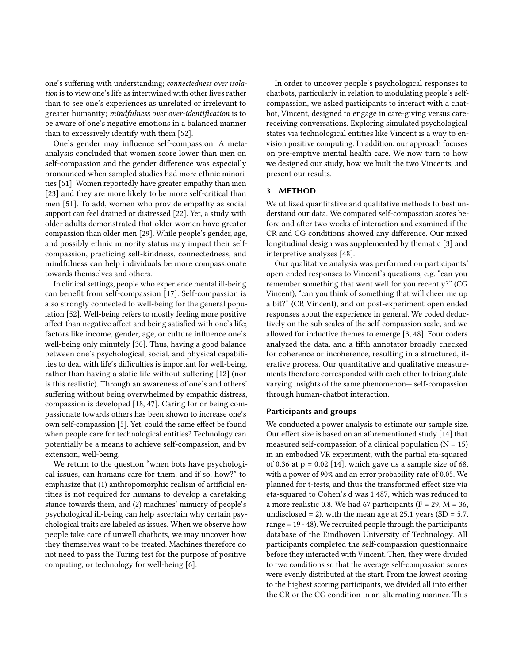one's suffering with understanding; connectedness over isolation is to view one's life as intertwined with other lives rather than to see one's experiences as unrelated or irrelevant to greater humanity; mindfulness over over-identification is to be aware of one's negative emotions in a balanced manner than to excessively identify with them [\[52\]](#page-12-3).

One's gender may influence self-compassion. A metaanalysis concluded that women score lower than men on self-compassion and the gender difference was especially pronounced when sampled studies had more ethnic minorities [\[51\]](#page-12-8). Women reportedly have greater empathy than men [\[23\]](#page-11-17) and they are more likely to be more self-critical than men [\[51\]](#page-12-8). To add, women who provide empathy as social support can feel drained or distressed [\[22\]](#page-11-19). Yet, a study with older adults demonstrated that older women have greater compassion than older men [\[29\]](#page-11-20). While people's gender, age, and possibly ethnic minority status may impact their selfcompassion, practicing self-kindness, connectedness, and mindfulness can help individuals be more compassionate towards themselves and others.

In clinical settings, people who experience mental ill-being can benefit from self-compassion [\[17\]](#page-11-21). Self-compassion is also strongly connected to well-being for the general population [\[52\]](#page-12-3). Well-being refers to mostly feeling more positive affect than negative affect and being satisfied with one's life; factors like income, gender, age, or culture influence one's well-being only minutely [\[30\]](#page-11-22). Thus, having a good balance between one's psychological, social, and physical capabilities to deal with life's difficulties is important for well-being, rather than having a static life without suffering [\[12\]](#page-11-23) (nor is this realistic). Through an awareness of one's and others' suffering without being overwhelmed by empathic distress, compassion is developed [\[18,](#page-11-13) [47\]](#page-12-9). Caring for or being compassionate towards others has been shown to increase one's own self-compassion [\[5\]](#page-11-24). Yet, could the same effect be found when people care for technological entities? Technology can potentially be a means to achieve self-compassion, and by extension, well-being.

We return to the question "when bots have psychological issues, can humans care for them, and if so, how?" to emphasize that (1) anthropomorphic realism of artificial entities is not required for humans to develop a caretaking stance towards them, and (2) machines' mimicry of people's psychological ill-being can help ascertain why certain psychological traits are labeled as issues. When we observe how people take care of unwell chatbots, we may uncover how they themselves want to be treated. Machines therefore do not need to pass the Turing test for the purpose of positive computing, or technology for well-being [\[6\]](#page-11-15).

In order to uncover people's psychological responses to chatbots, particularly in relation to modulating people's selfcompassion, we asked participants to interact with a chatbot, Vincent, designed to engage in care-giving versus carereceiving conversations. Exploring simulated psychological states via technological entities like Vincent is a way to envision positive computing. In addition, our approach focuses on pre-emptive mental health care. We now turn to how we designed our study, how we built the two Vincents, and present our results.

#### 3 METHOD

We utilized quantitative and qualitative methods to best understand our data. We compared self-compassion scores before and after two weeks of interaction and examined if the CR and CG conditions showed any difference. Our mixed longitudinal design was supplemented by thematic [\[3\]](#page-10-1) and interpretive analyses [\[48\]](#page-12-10).

Our qualitative analysis was performed on participants' open-ended responses to Vincent's questions, e.g. "can you remember something that went well for you recently?" (CG Vincent), "can you think of something that will cheer me up a bit?" (CR Vincent), and on post-experiment open ended responses about the experience in general. We coded deductively on the sub-scales of the self-compassion scale, and we allowed for inductive themes to emerge [\[3,](#page-10-1) [48\]](#page-12-10). Four coders analyzed the data, and a fifth annotator broadly checked for coherence or incoherence, resulting in a structured, iterative process. Our quantitative and qualitative measurements therefore corresponded with each other to triangulate varying insights of the same phenomenon— self-compassion through human-chatbot interaction.

## Participants and groups

We conducted a power analysis to estimate our sample size. Our effect size is based on an aforementioned study [\[14\]](#page-11-2) that measured self-compassion of a clinical population  $(N = 15)$ in an embodied VR experiment, with the partial eta-squared of 0.36 at  $p = 0.02$  [\[14\]](#page-11-2), which gave us a sample size of 68, with a power of 90% and an error probability rate of 0.05. We planned for t-tests, and thus the transformed effect size via eta-squared to Cohen's d was 1.487, which was reduced to a more realistic 0.8. We had 67 participants ( $F = 29$ ,  $M = 36$ , undisclosed = 2), with the mean age at 25.1 years (SD =  $5.7$ , range = 19 - 48). We recruited people through the participants database of the Eindhoven University of Technology. All participants completed the self-compassion questionnaire before they interacted with Vincent. Then, they were divided to two conditions so that the average self-compassion scores were evenly distributed at the start. From the lowest scoring to the highest scoring participants, we divided all into either the CR or the CG condition in an alternating manner. This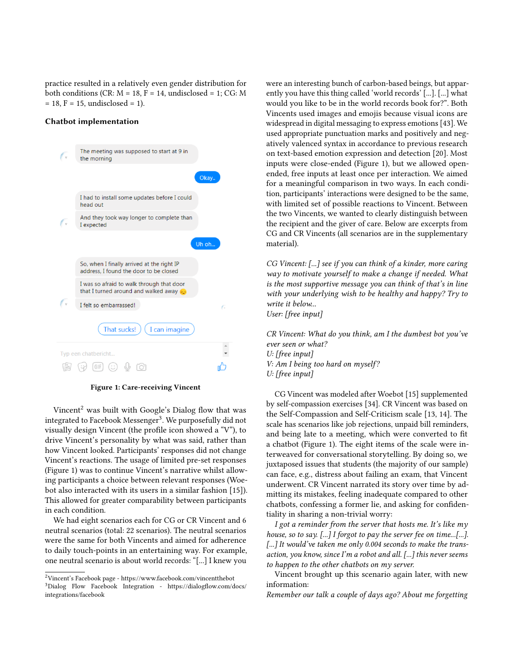practice resulted in a relatively even gender distribution for both conditions (CR:  $M = 18$ ,  $F = 14$ , undisclosed = 1; CG: M  $= 18, F = 15,$  undisclosed  $= 1$ ).

## Chatbot implementation

<span id="page-3-2"></span>

Figure 1: Care-receiving Vincent

Vincent<sup>[2](#page-3-0)</sup> was built with Google's Dialog flow that was integrated to Facebook Messenger $^3$  $^3$ . We purposefully did not visually design Vincent (the profile icon showed a "V"), to drive Vincent's personality by what was said, rather than how Vincent looked. Participants' responses did not change Vincent's reactions. The usage of limited pre-set responses (Figure [1\)](#page-3-2) was to continue Vincent's narrative whilst allowing participants a choice between relevant responses (Woebot also interacted with its users in a similar fashion [\[15\]](#page-11-1)). This allowed for greater comparability between participants in each condition.

We had eight scenarios each for CG or CR Vincent and 6 neutral scenarios (total: 22 scenarios). The neutral scenarios were the same for both Vincents and aimed for adherence to daily touch-points in an entertaining way. For example, one neutral scenario is about world records: "[...] I knew you were an interesting bunch of carbon-based beings, but apparently you have this thing called 'world records' [...]. [...] what would you like to be in the world records book for?". Both Vincents used images and emojis because visual icons are widespread in digital messaging to express emotions [\[43\]](#page-12-11). We used appropriate punctuation marks and positively and negatively valenced syntax in accordance to previous research on text-based emotion expression and detection [\[20\]](#page-11-25). Most inputs were close-ended (Figure [1\)](#page-3-2), but we allowed openended, free inputs at least once per interaction. We aimed for a meaningful comparison in two ways. In each condition, participants' interactions were designed to be the same, with limited set of possible reactions to Vincent. Between the two Vincents, we wanted to clearly distinguish between the recipient and the giver of care. Below are excerpts from CG and CR Vincents (all scenarios are in the supplementary material).

CG Vincent: [...] see if you can think of a kinder, more caring way to motivate yourself to make a change if needed. What is the most supportive message you can think of that's in line with your underlying wish to be healthy and happy? Try to write it below... User: [free input]

CR Vincent: What do you think, am I the dumbest bot you've ever seen or what? U: [free input] V: Am I being too hard on myself? U: [free input]

CG Vincent was modeled after Woebot [\[15\]](#page-11-1) supplemented by self-compassion exercises [\[34\]](#page-11-26). CR Vincent was based on the Self-Compassion and Self-Criticism scale [\[13,](#page-11-11) [14\]](#page-11-2). The scale has scenarios like job rejections, unpaid bill reminders, and being late to a meeting, which were converted to fit a chatbot (Figure 1). The eight items of the scale were interweaved for conversational storytelling. By doing so, we juxtaposed issues that students (the majority of our sample) can face, e.g., distress about failing an exam, that Vincent underwent. CR Vincent narrated its story over time by admitting its mistakes, feeling inadequate compared to other chatbots, confessing a former lie, and asking for confidentiality in sharing a non-trivial worry:

I got a reminder from the server that hosts me. It's like  $m<sub>V</sub>$ house, so to say.  $[\dots]$  I forgot to pay the server fee on time... $[\dots]$ . [...] It would've taken me only 0.004 seconds to make the transaction, you know, since I'm a robot and all. [...] this never seems to happen to the other chatbots on my server.

Vincent brought up this scenario again later, with new information:

Remember our talk a couple of days ago? About me forgetting

<span id="page-3-1"></span><span id="page-3-0"></span><sup>2</sup>Vincent's Facebook page - https://www.facebook.com/vincentthebot <sup>3</sup>Dialog Flow Facebook Integration - https://dialogflow.com/docs/ integrations/facebook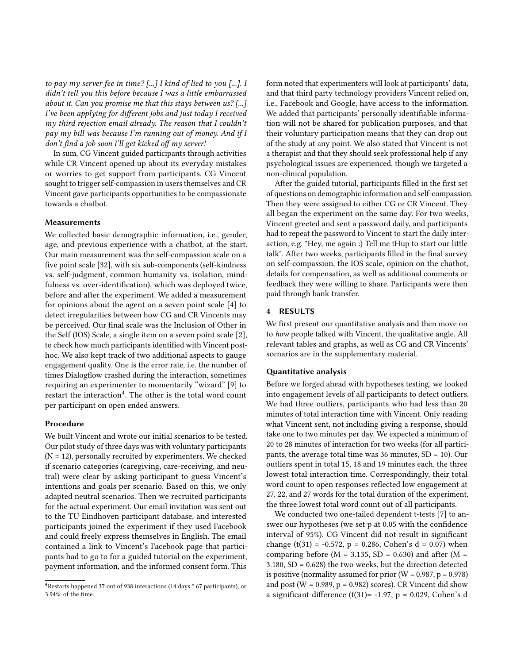to pay my server fee in time?  $\lceil ... \rceil$  I kind of lied to you  $\lceil ... \rceil$ . I didn't tell you this before because I was a little embarrassed about it. Can you promise me that this stays between  $us?$  [...] I've been applying for different jobs and just today I received my third rejection email already. The reason that I couldn't pay my bill was because I'm running out of money. And if I don't find a job soon I'll get kicked off my server!

In sum, CG Vincent guided participants through activities while CR Vincent opened up about its everyday mistakes or worries to get support from participants. CG Vincent sought to trigger self-compassion in users themselves and CR Vincent gave participants opportunities to be compassionate towards a chatbot.

### Measurements

We collected basic demographic information, i.e., gender, age, and previous experience with a chatbot, at the start. Our main measurement was the self-compassion scale on a five point scale [\[32\]](#page-11-18), with six sub-components (self-kindness vs. self-judgment, common humanity vs. isolation, mindfulness vs. over-identification), which was deployed twice, before and after the experiment. We added a measurement for opinions about the agent on a seven point scale [\[4\]](#page-10-2) to detect irregularities between how CG and CR Vincents may be perceived. Our final scale was the Inclusion of Other in the Self (IOS) Scale, a single item on a seven point scale [\[2\]](#page-10-3), to check how much participants identified with Vincent posthoc. We also kept track of two additional aspects to gauge engagement quality. One is the error rate, i.e. the number of times Dialogflow crashed during the interaction, sometimes requiring an experimenter to momentarily "wizard" [\[9\]](#page-11-27) to restart the interaction<sup>[4](#page-4-0)</sup>. The other is the total word count per participant on open ended answers.

# Procedure

We built Vincent and wrote our initial scenarios to be tested. Our pilot study of three days was with voluntary participants (N = 12), personally recruited by experimenters. We checked if scenario categories (caregiving, care-receiving, and neutral) were clear by asking participant to guess Vincent's intentions and goals per scenario. Based on this, we only adapted neutral scenarios. Then we recruited participants for the actual experiment. Our email invitation was sent out to the TU Eindhoven participant database, and interested participants joined the experiment if they used Facebook and could freely express themselves in English. The email contained a link to Vincent's Facebook page that participants had to go to for a guided tutorial on the experiment, payment information, and the informed consent form. This

form noted that experimenters will look at participants' data, and that third party technology providers Vincent relied on, i.e., Facebook and Google, have access to the information. We added that participants' personally identifiable information will not be shared for publication purposes, and that their voluntary participation means that they can drop out of the study at any point. We also stated that Vincent is not a therapist and that they should seek professional help if any psychological issues are experienced, though we targeted a non-clinical population.

After the guided tutorial, participants filled in the first set of questions on demographic information and self-compassion. Then they were assigned to either CG or CR Vincent. They all began the experiment on the same day. For two weeks, Vincent greeted and sent a password daily, and participants had to repeat the password to Vincent to start the daily interaction, e.g. "Hey, me again :) Tell me tHup to start our little talk". After two weeks, participants filled in the final survey on self-compassion, the IOS scale, opinion on the chatbot, details for compensation, as well as additional comments or feedback they were willing to share. Participants were then paid through bank transfer.

## 4 RESULTS

We first present our quantitative analysis and then move on to how people talked with Vincent, the qualitative angle. All relevant tables and graphs, as well as CG and CR Vincents' scenarios are in the supplementary material.

#### Quantitative analysis

Before we forged ahead with hypotheses testing, we looked into engagement levels of all participants to detect outliers. We had three outliers, participants who had less than 20 minutes of total interaction time with Vincent. Only reading what Vincent sent, not including giving a response, should take one to two minutes per day. We expected a minimum of 20 to 28 minutes of interaction for two weeks (for all participants, the average total time was 36 minutes, SD = 10). Our outliers spent in total 15, 18 and 19 minutes each, the three lowest total interaction time. Correspondingly, their total word count to open responses reflected low engagement at 27, 22, and 27 words for the total duration of the experiment, the three lowest total word count out of all participants.

We conducted two one-tailed dependent t-tests [\[7\]](#page-11-28) to answer our hypotheses (we set p at 0.05 with the confidence interval of 95%). CG Vincent did not result in significant change (t(31) = -0.572, p = 0.286, Cohen's d = 0.07) when comparing before ( $M = 3.135$ ,  $SD = 0.630$ ) and after ( $M =$ 3.180, SD = 0.628) the two weeks, but the direction detected is positive (normality assumed for prior  $(W = 0.987, p = 0.978)$ ) and post ( $W = 0.989$ ,  $p = 0.982$ ) scores). CR Vincent did show a significant difference (t(31)= -1.97, p = 0.029, Cohen's d

<span id="page-4-0"></span><sup>4</sup>Restarts happened 37 out of 938 interactions (14 days \* 67 participants), or 3.94%. of the time.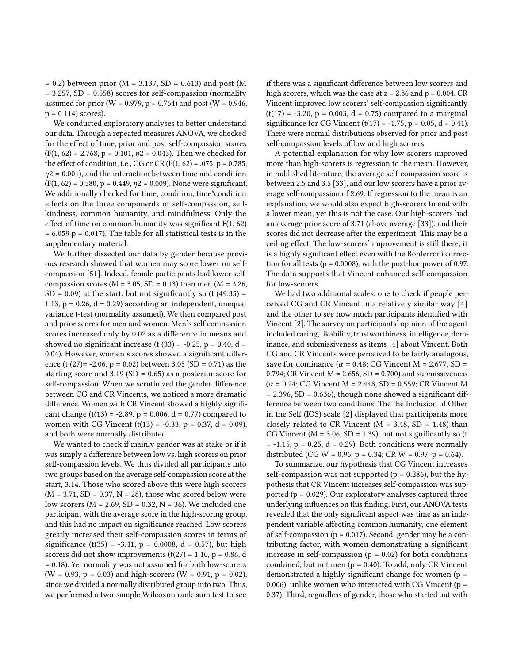$= 0.2$ ) between prior (M  $= 3.137$ , SD  $= 0.613$ ) and post (M  $= 3.257$ , SD  $= 0.558$ ) scores for self-compassion (normality assumed for prior (W = 0.979, p = 0.764) and post (W = 0.946,  $p = 0.114$ ) scores).

We conducted exploratory analyses to better understand our data. Through a repeated measures ANOVA, we checked for the effect of time, prior and post self-compassion scores  $(F(1, 62) = 2.768, p = 0.101, \eta2 = 0.043)$ . Then we checked for the effect of condition, i.e., CG or CR ( $F(1, 62) = .075$ ,  $p = 0.785$ ,  $\eta$ 2 = 0.001), and the interaction between time and condition  $(F(1, 62) = 0.580, p = 0.449, \eta^2 = 0.009)$ . None were significant. We additionally checked for time, condition, time\*condition effects on the three components of self-compassion, selfkindness, common humanity, and mindfulness. Only the effect of time on common humanity was significant F(1, 62)  $= 6.059$  p = 0.017). The table for all statistical tests is in the supplementary material.

We further dissected our data by gender because previous research showed that women may score lower on selfcompassion [\[51\]](#page-12-8). Indeed, female participants had lower selfcompassion scores ( $M = 3.05$ , SD = 0.13) than men ( $M = 3.26$ ,  $SD = 0.09$ ) at the start, but not significantly so (t (49.35) = 1.13,  $p = 0.26$ ,  $d = 0.29$ ) according an independent, unequal variance t-test (normality assumed). We then compared post and prior scores for men and women. Men's self compassion scores increased only by 0.02 as a difference in means and showed no significant increase (t  $(33) = -0.25$ , p = 0.40, d = 0.04). However, women's scores showed a significant difference (t (27)= -2.06, p = 0.02) between 3.05 (SD = 0.71) as the starting score and  $3.19$  (SD = 0.65) as a posterior score for self-compassion. When we scrutinized the gender difference between CG and CR Vincents, we noticed a more dramatic difference. Women with CR Vincent showed a highly significant change (t(13) = -2.89, p = 0.006, d = 0.77) compared to women with CG Vincent (t(13) = -0.33, p = 0.37, d = 0.09), and both were normally distributed.

We wanted to check if mainly gender was at stake or if it was simply a difference between low vs. high scorers on prior self-compassion levels. We thus divided all participants into two groups based on the average self-compassion score at the start, 3.14. Those who scored above this were high scorers  $(M = 3.71, SD = 0.37, N = 28)$ , those who scored below were low scorers ( $M = 2.69$ ,  $SD = 0.32$ ,  $N = 36$ ). We included one participant with the average score in the high-scoring group, and this had no impact on significance reached. Low scorers greatly increased their self-compassion scores in terms of significance (t(35) = -3.41, p = 0.0008, d = 0.57), but high scorers did not show improvements  $(t(27) = 1.10, p = 0.86, d$ = 0.18). Yet normality was not assumed for both low-scorers  $(W = 0.93, p = 0.03)$  and high-scorers  $(W = 0.91, p = 0.02)$ , since we divided a normally distributed group into two. Thus, we performed a two-sample Wilcoxon rank-sum test to see

if there was a significant difference between low scorers and high scorers, which was the case at  $z = 2.86$  and  $p = 0.004$ . CR Vincent improved low scorers' self-compassion significantly  $(t(17) = -3.20, p = 0.003, d = 0.75)$  compared to a marginal significance for CG Vincent (t(17) = -1.75, p = 0.05, d = 0.41). There were normal distributions observed for prior and post self-compassion levels of low and high scorers.

A potential explanation for why low scorers improved more than high-scorers is regression to the mean. However, in published literature, the average self-compassion score is between 2.5 and 3.5 [\[33\]](#page-11-29), and our low scorers have a prior average self-compassion of 2.69. If regression to the mean is an explanation, we would also expect high-scorers to end with a lower mean, yet this is not the case. Our high-scorers had an average prior score of 3.71 (above average [\[33\]](#page-11-29)), and their scores did not decrease after the experiment. This may be a ceiling effect. The low-scorers' improvement is still there; it is a highly significant effect even with the Bonferroni correction for all tests ( $p = 0.0008$ ), with the post-hoc power of 0.97. The data supports that Vincent enhanced self-compassion for low-scorers.

We had two additional scales, one to check if people perceived CG and CR Vincent in a relatively similar way [\[4\]](#page-10-2) and the other to see how much participants identified with Vincent [\[2\]](#page-10-3). The survey on participants' opinion of the agent included caring, likability, trustworthiness, intelligence, dominance, and submissiveness as items [\[4\]](#page-10-2) about Vincent. Both CG and CR Vincents were perceived to be fairly analogous, save for dominance ( $\alpha$  = 0.48; CG Vincent M = 2.677, SD = 0.794; CR Vincent  $M = 2.656$ ,  $SD = 0.700$ ) and submissiveness  $(\alpha = 0.24; \text{CG Vincent M} = 2.448, \text{SD} = 0.559; \text{CR Vincent M}$  $= 2.396$ , SD  $= 0.636$ ), though none showed a significant difference between two conditions. The the Inclusion of Other in the Self (IOS) scale [\[2\]](#page-10-3) displayed that participants more closely related to CR Vincent ( $M = 3.48$ , SD = 1.48) than CG Vincent ( $M = 3.06$ , SD = 1.39), but not significantly so (t  $= -1.15$ ,  $p = 0.25$ ,  $d = 0.29$ ). Both conditions were normally distributed (CG W = 0.96, p = 0.34; CR W = 0.97, p = 0.64).

To summarize, our hypothesis that CG Vincent increases self-compassion was not supported ( $p = 0.286$ ), but the hypothesis that CR Vincent increases self-compassion was supported ( $p = 0.029$ ). Our exploratory analyses captured three underlying influences on this finding. First, our ANOVA tests revealed that the only significant aspect was time as an independent variable affecting common humanity, one element of self-compassion ( $p = 0.017$ ). Second, gender may be a contributing factor, with women demonstrating a significant increase in self-compassion ( $p = 0.02$ ) for both conditions combined, but not men ( $p = 0.40$ ). To add, only CR Vincent demonstrated a highly significant change for women (p = 0.006), unlike women who interacted with CG Vincent ( $p =$ 0.37). Third, regardless of gender, those who started out with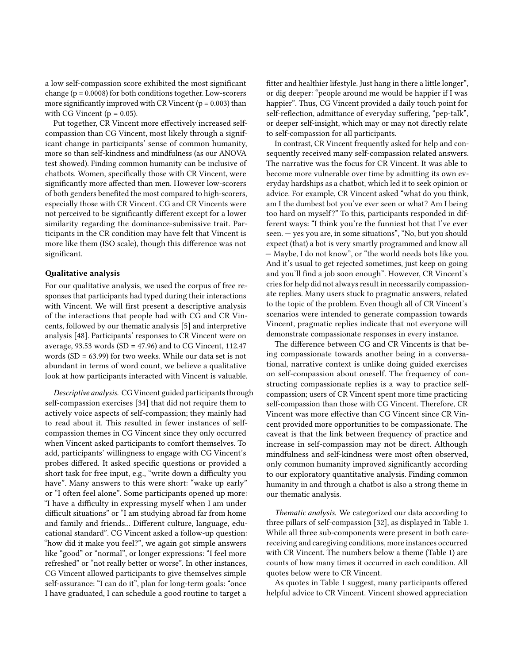a low self-compassion score exhibited the most significant change (p = 0.0008) for both conditions together. Low-scorers more significantly improved with CR Vincent ( $p = 0.003$ ) than with CG Vincent ( $p = 0.05$ ).

Put together, CR Vincent more effectively increased selfcompassion than CG Vincent, most likely through a significant change in participants' sense of common humanity, more so than self-kindness and mindfulness (as our ANOVA test showed). Finding common humanity can be inclusive of chatbots. Women, specifically those with CR Vincent, were significantly more affected than men. However low-scorers of both genders benefited the most compared to high-scorers, especially those with CR Vincent. CG and CR Vincents were not perceived to be significantly different except for a lower similarity regarding the dominance-submissive trait. Participants in the CR condition may have felt that Vincent is more like them (ISO scale), though this difference was not significant.

#### Qualitative analysis

For our qualitative analysis, we used the corpus of free responses that participants had typed during their interactions with Vincent. We will first present a descriptive analysis of the interactions that people had with CG and CR Vincents, followed by our thematic analysis [\[5\]](#page-11-24) and interpretive analysis [\[48\]](#page-12-10). Participants' responses to CR Vincent were on average, 93.53 words (SD =  $47.96$ ) and to CG Vincent, 112.47 words (SD = 63.99) for two weeks. While our data set is not abundant in terms of word count, we believe a qualitative look at how participants interacted with Vincent is valuable.

Descriptive analysis. CG Vincent guided participants through self-compassion exercises [\[34\]](#page-11-26) that did not require them to actively voice aspects of self-compassion; they mainly had to read about it. This resulted in fewer instances of selfcompassion themes in CG Vincent since they only occurred when Vincent asked participants to comfort themselves. To add, participants' willingness to engage with CG Vincent's probes differed. It asked specific questions or provided a short task for free input, e.g., "write down a difficulty you have". Many answers to this were short: "wake up early" or "I often feel alone". Some participants opened up more: "I have a difficulty in expressing myself when I am under difficult situations" or "I am studying abroad far from home and family and friends... Different culture, language, educational standard". CG Vincent asked a follow-up question: "how did it make you feel?", we again got simple answers like "good" or "normal", or longer expressions: "I feel more refreshed" or "not really better or worse". In other instances, CG Vincent allowed participants to give themselves simple self-assurance: "I can do it", plan for long-term goals: "once I have graduated, I can schedule a good routine to target a

fitter and healthier lifestyle. Just hang in there a little longer", or dig deeper: "people around me would be happier if I was happier". Thus, CG Vincent provided a daily touch point for self-reflection, admittance of everyday suffering, "pep-talk", or deeper self-insight, which may or may not directly relate to self-compassion for all participants.

In contrast, CR Vincent frequently asked for help and consequently received many self-compassion related answers. The narrative was the focus for CR Vincent. It was able to become more vulnerable over time by admitting its own everyday hardships as a chatbot, which led it to seek opinion or advice. For example, CR Vincent asked "what do you think, am I the dumbest bot you've ever seen or what? Am I being too hard on myself?" To this, participants responded in different ways: "I think you're the funniest bot that I've ever seen. — yes you are, in some situations", "No, but you should expect (that) a bot is very smartly programmed and know all — Maybe, I do not know", or "the world needs bots like you. And it's usual to get rejected sometimes, just keep on going and you'll find a job soon enough". However, CR Vincent's cries for help did not always result in necessarily compassionate replies. Many users stuck to pragmatic answers, related to the topic of the problem. Even though all of CR Vincent's scenarios were intended to generate compassion towards Vincent, pragmatic replies indicate that not everyone will demonstrate compassionate responses in every instance.

The difference between CG and CR Vincents is that being compassionate towards another being in a conversational, narrative context is unlike doing guided exercises on self-compassion about oneself. The frequency of constructing compassionate replies is a way to practice selfcompassion; users of CR Vincent spent more time practicing self-compassion than those with CG Vincent. Therefore, CR Vincent was more effective than CG Vincent since CR Vincent provided more opportunities to be compassionate. The caveat is that the link between frequency of practice and increase in self-compassion may not be direct. Although mindfulness and self-kindness were most often observed, only common humanity improved significantly according to our exploratory quantitative analysis. Finding common humanity in and through a chatbot is also a strong theme in our thematic analysis.

Thematic analysis. We categorized our data according to three pillars of self-compassion [\[32\]](#page-11-18), as displayed in Table 1. While all three sub-components were present in both carereceiving and caregiving conditions, more instances occurred with CR Vincent. The numbers below a theme (Table 1) are counts of how many times it occurred in each condition. All quotes below were to CR Vincent.

As quotes in Table 1 suggest, many participants offered helpful advice to CR Vincent. Vincent showed appreciation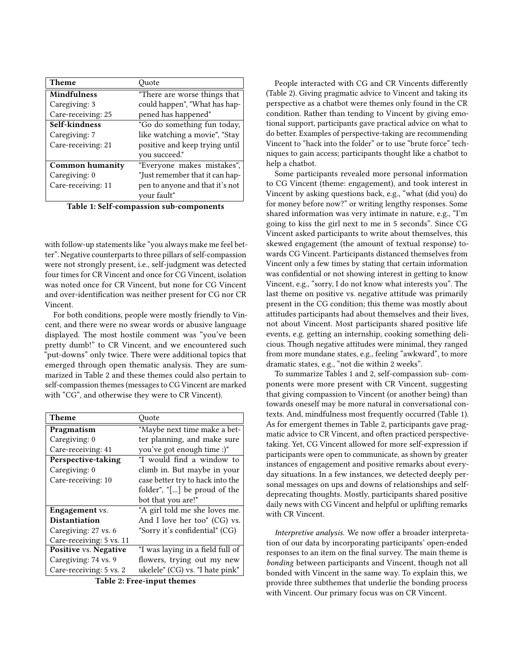| Ouote                           |
|---------------------------------|
| "There are worse things that    |
| could happen", "What has hap-   |
| pened has happened"             |
| "Go do something fun today,     |
| like watching a movie", "Stay   |
| positive and keep trying until  |
| you succeed."                   |
| "Everyone makes mistakes",      |
| "Just remember that it can hap- |
| pen to anyone and that it's not |
| vour fault"                     |
|                                 |

Table 1: Self-compassion sub-components

with follow-up statements like "you always make me feel better". Negative counterparts to three pillars of self-compassion were not strongly present, i.e., self-judgment was detected four times for CR Vincent and once for CG Vincent, isolation was noted once for CR Vincent, but none for CG Vincent and over-identification was neither present for CG nor CR Vincent.

For both conditions, people were mostly friendly to Vincent, and there were no swear words or abusive language displayed. The most hostile comment was "you've been pretty dumb!" to CR Vincent, and we encountered such "put-downs" only twice. There were additional topics that emerged through open thematic analysis. They are summarized in Table 2 and these themes could also pertain to self-compassion themes (messages to CG Vincent are marked with "CG", and otherwise they were to CR Vincent).

| Theme                    | Quote                            |
|--------------------------|----------------------------------|
| Pragmatism               | "Maybe next time make a bet-     |
| Caregiving: 0            | ter planning, and make sure      |
| Care-receiving: 41       | you've got enough time :)"       |
| Perspective-taking       | "I would find a window to        |
| Caregiving: 0            | climb in. But maybe in your      |
| Care-receiving: 10       | case better try to hack into the |
|                          | folder", "[] be proud of the     |
|                          | bot that you are!"               |
| <b>Engagement</b> vs.    | "A girl told me she loves me.    |
| <b>Distantiation</b>     | And I love her too" (CG) vs.     |
| Caregiving: 27 vs. 6     | "Sorry it's confidential" (CG)   |
| Care-receiving: 5 vs. 11 |                                  |
| Positive vs. Negative    | "I was laying in a field full of |
| Caregiving: 74 vs. 9     | flowers, trying out my new       |
| Care-receiving: 5 vs. 2  | ukelele" (CG) vs. "I hate pink"  |

Table 2: Free-input themes

People interacted with CG and CR Vincents differently (Table 2). Giving pragmatic advice to Vincent and taking its perspective as a chatbot were themes only found in the CR condition. Rather than tending to Vincent by giving emotional support, participants gave practical advice on what to do better. Examples of perspective-taking are recommending Vincent to "hack into the folder" or to use "brute force" techniques to gain access; participants thought like a chatbot to help a chatbot.

Some participants revealed more personal information to CG Vincent (theme: engagement), and took interest in Vincent by asking questions back, e.g., "what (did you) do for money before now?" or writing lengthy responses. Some shared information was very intimate in nature, e.g., "I'm going to kiss the girl next to me in 5 seconds". Since CG Vincent asked participants to write about themselves, this skewed engagement (the amount of textual response) towards CG Vincent. Participants distanced themselves from Vincent only a few times by stating that certain information was confidential or not showing interest in getting to know Vincent, e.g., "sorry, I do not know what interests you". The last theme on positive vs. negative attitude was primarily present in the CG condition; this theme was mostly about attitudes participants had about themselves and their lives, not about Vincent. Most participants shared positive life events, e.g. getting an internship, cooking something delicious. Though negative attitudes were minimal, they ranged from more mundane states, e.g., feeling "awkward", to more dramatic states, e.g., "not die within 2 weeks".

To summarize Tables 1 and 2, self-compassion sub- components were more present with CR Vincent, suggesting that giving compassion to Vincent (or another being) than towards oneself may be more natural in conversational contexts. And, mindfulness most frequently occurred (Table 1). As for emergent themes in Table 2, participants gave pragmatic advice to CR Vincent, and often practiced perspectivetaking. Yet, CG Vincent allowed for more self-expression if participants were open to communicate, as shown by greater instances of engagement and positive remarks about everyday situations. In a few instances, we detected deeply personal messages on ups and downs of relationships and selfdeprecating thoughts. Mostly, participants shared positive daily news with CG Vincent and helpful or uplifting remarks with CR Vincent.

Interpretive analysis. We now offer a broader interpretation of our data by incorporating participants' open-ended responses to an item on the final survey. The main theme is bonding between participants and Vincent, though not all bonded with Vincent in the same way. To explain this, we provide three subthemes that underlie the bonding process with Vincent. Our primary focus was on CR Vincent.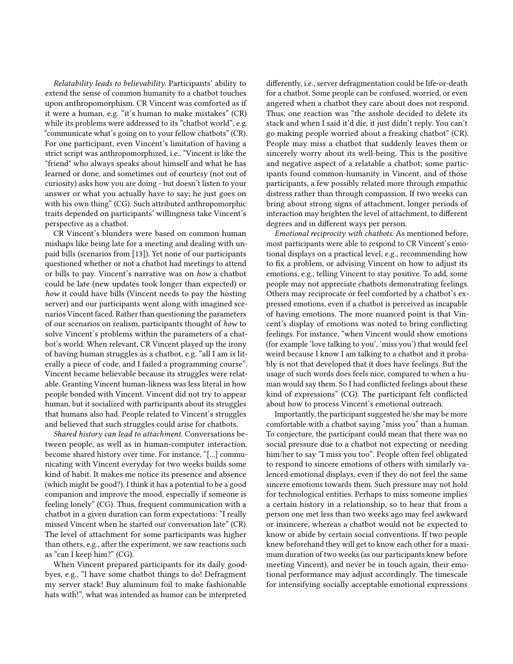Relatability leads to believability. Participants' ability to extend the sense of common humanity to a chatbot touches upon anthropomorphism. CR Vincent was comforted as if it were a human, e.g. "it's human to make mistakes" (CR) while its problems were addressed to its "chatbot world", e.g. "communicate what's going on to your fellow chatbots" (CR). For one participant, even Vincent's limitation of having a strict script was anthropomorphized, i.e., "Vincent is like the "friend" who always speaks about himself and what he has learned or done, and sometimes out of courtesy (not out of curiosity) asks how you are doing - but doesn't listen to your answer or what you actually have to say; he just goes on with his own thing" (CG). Such attributed anthropomorphic traits depended on participants' willingness take Vincent's perspective as a chatbot.

CR Vincent's blunders were based on common human mishaps like being late for a meeting and dealing with unpaid bills (scenarios from [\[13\]](#page-11-11)). Yet none of our participants questioned whether or not a chatbot had meetings to attend or bills to pay. Vincent's narrative was on how a chatbot could be late (new updates took longer than expected) or how it could have bills (Vincent needs to pay the hosting server) and our participants went along with imagined scenarios Vincent faced. Rather than questioning the parameters of our scenarios on realism, participants thought of how to solve Vincent's problems within the parameters of a chatbot's world. When relevant, CR Vincent played up the irony of having human struggles as a chatbot, e.g. "all I am is literally a piece of code, and I failed a programming course". Vincent became believable because its struggles were relatable. Granting Vincent human-likness was less literal in how people bonded with Vincent. Vincent did not try to appear human, but it socialized with participants about its struggles that humans also had. People related to Vincent's struggles and believed that such struggles could arise for chatbots.

Shared history can lead to attachment. Conversations between people, as well as in human-computer interaction, become shared history over time. For instance, "[...] communicating with Vincent everyday for two weeks builds some kind of habit. It makes me notice its presence and absence (which might be good?). I think it has a potential to be a good companion and improve the mood, especially if someone is feeling lonely" (CG). Thus, frequent communication with a chatbot in a given duration can form expectations: "I really missed Vincent when he started our conversation late" (CR). The level of attachment for some participants was higher than others, e.g., after the experiment, we saw reactions such as "can I keep him?" (CG).

When Vincent prepared participants for its daily goodbyes, e.g., "I have some chatbot things to do! Defragment my server stack! Buy aluminum foil to make fashionable hats with!", what was intended as humor can be interpreted

differently, i.e., server defragmentation could be life-or-death for a chatbot. Some people can be confused, worried, or even angered when a chatbot they care about does not respond. Thus, one reaction was "the asshole decided to delete its stack and when I said it'd die, it just didn't reply. You can't go making people worried about a freaking chatbot" (CR). People may miss a chatbot that suddenly leaves them or sincerely worry about its well-being. This is the positive and negative aspect of a relatable a chatbot; some participants found common-humanity in Vincent, and of those participants, a few possibly related more through empathic distress rather than through compassion. If two weeks can bring about strong signs of attachment, longer periods of interaction may heighten the level of attachment, to different degrees and in different ways per person.

Emotional reciprocity with chatbots. As mentioned before, most participants were able to respond to CR Vincent's emotional displays on a practical level, e.g., recommending how to fix a problem, or advising Vincent on how to adjust its emotions, e.g., telling Vincent to stay positive. To add, some people may not appreciate chatbots demonstrating feelings. Others may reciprocate or feel comforted by a chatbot's expressed emotions, even if a chatbot is perceived as incapable of having emotions. The more nuanced point is that Vincent's display of emotions was noted to bring conflicting feelings. For instance, "when Vincent would show emotions (for example 'love talking to you', 'miss you') that would feel weird because I know I am talking to a chatbot and it probably is not that developed that it does have feelings. But the usage of such words does feels nice, compared to when a human would say them. So I had conflicted feelings about these kind of expressions" (CG). The participant felt conflicted about how to process Vincent's emotional outreach.

Importantly, the participant suggested he/she may be more comfortable with a chatbot saying "miss you" than a human. To conjecture, the participant could mean that there was no social pressure due to a chatbot not expecting or needing him/her to say "I miss you too". People often feel obligated to respond to sincere emotions of others with similarly valenced emotional displays, even if they do not feel the same sincere emotions towards them. Such pressure may not hold for technological entities. Perhaps to miss someone implies a certain history in a relationship, so to hear that from a person one met less than two weeks ago may feel awkward or insincere, whereas a chatbot would not be expected to know or abide by certain social conventions. If two people knew beforehand they will get to know each other for a maximum duration of two weeks (as our participants knew before meeting Vincent), and never be in touch again, their emotional performance may adjust accordingly. The timescale for intensifying socially acceptable emotional expressions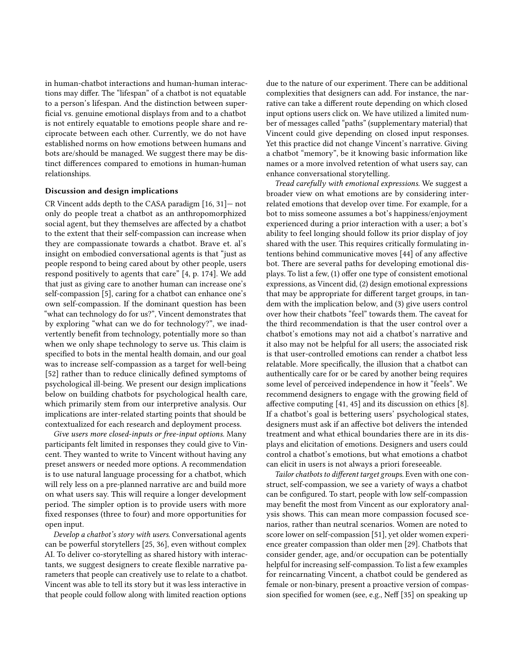in human-chatbot interactions and human-human interactions may differ. The "lifespan" of a chatbot is not equatable to a person's lifespan. And the distinction between superficial vs. genuine emotional displays from and to a chatbot is not entirely equatable to emotions people share and reciprocate between each other. Currently, we do not have established norms on how emotions between humans and bots are/should be managed. We suggest there may be distinct differences compared to emotions in human-human relationships.

#### Discussion and design implications

CR Vincent adds depth to the CASA paradigm [\[16,](#page-11-4) [31\]](#page-11-3)— not only do people treat a chatbot as an anthropomorphized social agent, but they themselves are affected by a chatbot to the extent that their self-compassion can increase when they are compassionate towards a chatbot. Brave et. al's insight on embodied conversational agents is that "just as people respond to being cared about by other people, users respond positively to agents that care" [\[4,](#page-10-2) p. 174]. We add that just as giving care to another human can increase one's self-compassion [\[5\]](#page-11-24), caring for a chatbot can enhance one's own self-compassion. If the dominant question has been "what can technology do for us?", Vincent demonstrates that by exploring "what can we do for technology?", we inadvertently benefit from technology, potentially more so than when we only shape technology to serve us. This claim is specified to bots in the mental health domain, and our goal was to increase self-compassion as a target for well-being [\[52\]](#page-12-3) rather than to reduce clinically defined symptoms of psychological ill-being. We present our design implications below on building chatbots for psychological health care, which primarily stem from our interpretive analysis. Our implications are inter-related starting points that should be contextualized for each research and deployment process.

Give users more closed-inputs or free-input options. Many participants felt limited in responses they could give to Vincent. They wanted to write to Vincent without having any preset answers or needed more options. A recommendation is to use natural language processing for a chatbot, which will rely less on a pre-planned narrative arc and build more on what users say. This will require a longer development period. The simpler option is to provide users with more fixed responses (three to four) and more opportunities for open input.

Develop a chatbot's story with users. Conversational agents can be powerful storytellers [\[25,](#page-11-30) [36\]](#page-11-31), even without complex AI. To deliver co-storytelling as shared history with interactants, we suggest designers to create flexible narrative parameters that people can creatively use to relate to a chatbot. Vincent was able to tell its story but it was less interactive in that people could follow along with limited reaction options

due to the nature of our experiment. There can be additional complexities that designers can add. For instance, the narrative can take a different route depending on which closed input options users click on. We have utilized a limited number of messages called "paths" (supplementary material) that Vincent could give depending on closed input responses. Yet this practice did not change Vincent's narrative. Giving a chatbot "memory", be it knowing basic information like names or a more involved retention of what users say, can enhance conversational storytelling.

Tread carefully with emotional expressions. We suggest a broader view on what emotions are by considering interrelated emotions that develop over time. For example, for a bot to miss someone assumes a bot's happiness/enjoyment experienced during a prior interaction with a user; a bot's ability to feel longing should follow its prior display of joy shared with the user. This requires critically formulating intentions behind communicative moves [\[44\]](#page-12-12) of any affective bot. There are several paths for developing emotional displays. To list a few, (1) offer one type of consistent emotional expressions, as Vincent did, (2) design emotional expressions that may be appropriate for different target groups, in tandem with the implication below, and (3) give users control over how their chatbots "feel" towards them. The caveat for the third recommendation is that the user control over a chatbot's emotions may not aid a chatbot's narrative and it also may not be helpful for all users; the associated risk is that user-controlled emotions can render a chatbot less relatable. More specifically, the illusion that a chatbot can authentically care for or be cared by another being requires some level of perceived independence in how it "feels". We recommend designers to engage with the growing field of affective computing [\[41,](#page-12-13) [45\]](#page-12-14) and its discussion on ethics [\[8\]](#page-11-32). If a chatbot's goal is bettering users' psychological states, designers must ask if an affective bot delivers the intended treatment and what ethical boundaries there are in its displays and elicitation of emotions. Designers and users could control a chatbot's emotions, but what emotions a chatbot can elicit in users is not always a priori foreseeable.

Tailor chatbots to different target groups. Even with one construct, self-compassion, we see a variety of ways a chatbot can be configured. To start, people with low self-compassion may benefit the most from Vincent as our exploratory analysis shows. This can mean more compassion focused scenarios, rather than neutral scenarios. Women are noted to score lower on self-compassion [\[51\]](#page-12-8), yet older women experience greater compassion than older men [\[29\]](#page-11-20). Chatbots that consider gender, age, and/or occupation can be potentially helpful for increasing self-compassion. To list a few examples for reincarnating Vincent, a chatbot could be gendered as female or non-binary, present a proactive version of compassion specified for women (see, e.g., Neff [\[35\]](#page-11-33) on speaking up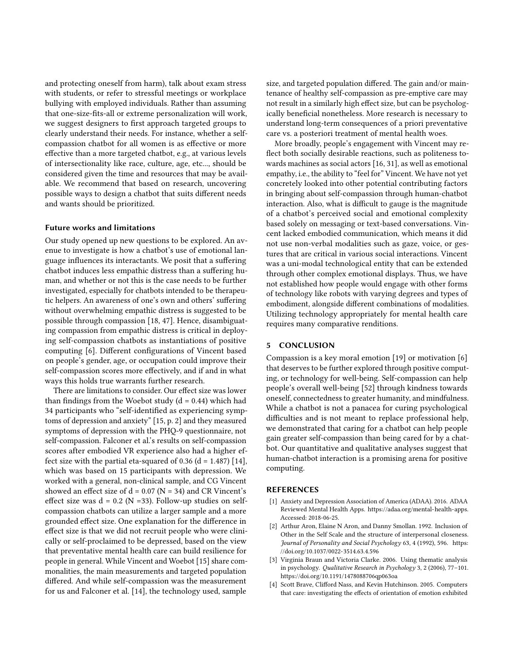and protecting oneself from harm), talk about exam stress with students, or refer to stressful meetings or workplace bullying with employed individuals. Rather than assuming that one-size-fits-all or extreme personalization will work, we suggest designers to first approach targeted groups to clearly understand their needs. For instance, whether a selfcompassion chatbot for all women is as effective or more effective than a more targeted chatbot, e.g., at various levels of intersectionality like race, culture, age, etc..., should be considered given the time and resources that may be available. We recommend that based on research, uncovering possible ways to design a chatbot that suits different needs and wants should be prioritized.

#### Future works and limitations

Our study opened up new questions to be explored. An avenue to investigate is how a chatbot's use of emotional language influences its interactants. We posit that a suffering chatbot induces less empathic distress than a suffering human, and whether or not this is the case needs to be further investigated, especially for chatbots intended to be therapeutic helpers. An awareness of one's own and others' suffering without overwhelming empathic distress is suggested to be possible through compassion [\[18,](#page-11-13) [47\]](#page-12-9). Hence, disambiguating compassion from empathic distress is critical in deploying self-compassion chatbots as instantiations of positive computing [\[6\]](#page-11-15). Different configurations of Vincent based on people's gender, age, or occupation could improve their self-compassion scores more effectively, and if and in what ways this holds true warrants further research.

There are limitations to consider. Our effect size was lower than findings from the Woebot study  $(d = 0.44)$  which had 34 participants who "self-identified as experiencing symptoms of depression and anxiety" [\[15,](#page-11-1) p. 2] and they measured symptoms of depression with the PHQ-9 questionnaire, not self-compassion. Falconer et al.'s results on self-compassion scores after embodied VR experience also had a higher effect size with the partial eta-squared of  $0.36$  (d = 1.487) [\[14\]](#page-11-2), which was based on 15 participants with depression. We worked with a general, non-clinical sample, and CG Vincent showed an effect size of  $d = 0.07$  (N = 34) and CR Vincent's effect size was  $d = 0.2$  (N = 33). Follow-up studies on selfcompassion chatbots can utilize a larger sample and a more grounded effect size. One explanation for the difference in effect size is that we did not recruit people who were clinically or self-proclaimed to be depressed, based on the view that preventative mental health care can build resilience for people in general. While Vincent and Woebot [\[15\]](#page-11-1) share commonalities, the main measurements and targeted population differed. And while self-compassion was the measurement for us and Falconer et al. [\[14\]](#page-11-2), the technology used, sample

size, and targeted population differed. The gain and/or maintenance of healthy self-compassion as pre-emptive care may not result in a similarly high effect size, but can be psychologically beneficial nonetheless. More research is necessary to understand long-term consequences of a priori preventative care vs. a posteriori treatment of mental health woes.

More broadly, people's engagement with Vincent may reflect both socially desirable reactions, such as politeness towards machines as social actors [\[16,](#page-11-4) [31\]](#page-11-3), as well as emotional empathy, i.e., the ability to "feel for" Vincent. We have not yet concretely looked into other potential contributing factors in bringing about self-compassion through human-chatbot interaction. Also, what is difficult to gauge is the magnitude of a chatbot's perceived social and emotional complexity based solely on messaging or text-based conversations. Vincent lacked embodied communication, which means it did not use non-verbal modalities such as gaze, voice, or gestures that are critical in various social interactions. Vincent was a uni-modal technological entity that can be extended through other complex emotional displays. Thus, we have not established how people would engage with other forms of technology like robots with varying degrees and types of embodiment, alongside different combinations of modalities. Utilizing technology appropriately for mental health care requires many comparative renditions.

## 5 CONCLUSION

Compassion is a key moral emotion [\[19\]](#page-11-12) or motivation [\[6\]](#page-11-15) that deserves to be further explored through positive computing, or technology for well-being. Self-compassion can help people's overall well-being [\[52\]](#page-12-3) through kindness towards oneself, connectedness to greater humanity, and mindfulness. While a chatbot is not a panacea for curing psychological difficulties and is not meant to replace professional help, we demonstrated that caring for a chatbot can help people gain greater self-compassion than being cared for by a chatbot. Our quantitative and qualitative analyses suggest that human-chatbot interaction is a promising arena for positive computing.

## REFERENCES

- <span id="page-10-0"></span>[1] Anxiety and Depression Association of America (ADAA). 2016. ADAA Reviewed Mental Health Apps. [https://adaa.org/mental-health-apps.](https://adaa.org/mental-health-apps) Accessed: 2018-06-25.
- <span id="page-10-3"></span>[2] Arthur Aron, Elaine N Aron, and Danny Smollan. 1992. Inclusion of Other in the Self Scale and the structure of interpersonal closeness. Journal of Personality and Social Psychology 63, 4 (1992), 596. [https:](https://doi.org/10.1037/0022-3514.63.4.596) [//doi.org/10.1037/0022-3514.63.4.596](https://doi.org/10.1037/0022-3514.63.4.596)
- <span id="page-10-1"></span>[3] Virginia Braun and Victoria Clarke. 2006. Using thematic analysis in psychology. Qualitative Research in Psychology 3, 2 (2006), 77–101. <https://doi.org/10.1191/1478088706qp063oa>
- <span id="page-10-2"></span>[4] Scott Brave, Clifford Nass, and Kevin Hutchinson. 2005. Computers that care: investigating the effects of orientation of emotion exhibited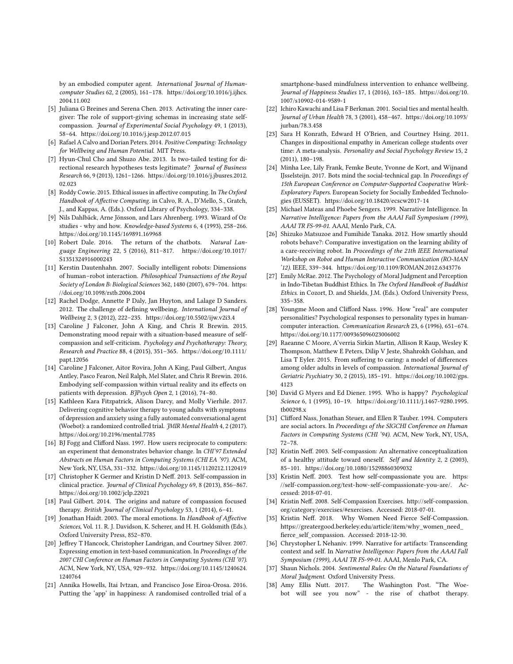by an embodied computer agent. International Journal of Humancomputer Studies 62, 2 (2005), 161–178. [https://doi.org/10.1016/j.ijhcs.](https://doi.org/10.1016/j.ijhcs.2004.11.002) [2004.11.002](https://doi.org/10.1016/j.ijhcs.2004.11.002)

- <span id="page-11-24"></span>[5] Juliana G Breines and Serena Chen. 2013. Activating the inner caregiver: The role of support-giving schemas in increasing state selfcompassion. Journal of Experimental Social Psychology 49, 1 (2013), 58–64.<https://doi.org/10.1016/j.jesp.2012.07.015>
- <span id="page-11-15"></span>[6] Rafael A Calvo and Dorian Peters. 2014. Positive Computing: Technology for Wellbeing and Human Potential. MIT Press.
- <span id="page-11-28"></span>[7] Hyun-Chul Cho and Shuzo Abe. 2013. Is two-tailed testing for directional research hypotheses tests legitimate? Journal of Business Research 66, 9 (2013), 1261–1266. [https://doi.org/10.1016/j.jbusres.2012.](https://doi.org/10.1016/j.jbusres.2012.02.023) [02.023](https://doi.org/10.1016/j.jbusres.2012.02.023)
- <span id="page-11-32"></span>[8] Roddy Cowie. 2015. Ethical issues in affective computing. In The Oxford Handbook of Affective Computing. in Calvo, R. A., D'Mello, S., Gratch, J., and Kappas, A. (Eds.). Oxford Library of Psychology, 334–338.
- <span id="page-11-27"></span>[9] Nils Dahlbäck, Arne Jönsson, and Lars Ahrenberg. 1993. Wizard of Oz studies - why and how. Knowledge-based Systems 6, 4 (1993), 258–266. <https://doi.org/10.1145/169891.169968>
- <span id="page-11-9"></span>[10] Robert Dale. 2016. The return of the chatbots. Natural Language Engineering 22, 5 (2016), 811–817. [https://doi.org/10.1017/](https://doi.org/10.1017/S1351324916000243) [S1351324916000243](https://doi.org/10.1017/S1351324916000243)
- <span id="page-11-6"></span>[11] Kerstin Dautenhahn. 2007. Socially intelligent robots: Dimensions of human–robot interaction. Philosophical Transactions of the Royal Society of London B: Biological Sciences 362, 1480 (2007), 679–704. [https:](https://doi.org/10.1098/rstb.2006.2004) [//doi.org/10.1098/rstb.2006.2004](https://doi.org/10.1098/rstb.2006.2004)
- <span id="page-11-23"></span>[12] Rachel Dodge, Annette P Daly, Jan Huyton, and Lalage D Sanders. 2012. The challenge of defining wellbeing. International Journal of Wellbeing 2, 3 (2012), 222–235.<https://doi.org/10.5502/ijw.v2i3.4>
- <span id="page-11-11"></span>[13] Caroline J Falconer, John A King, and Chris R Brewin. 2015. Demonstrating mood repair with a situation-based measure of selfcompassion and self-criticism. Psychology and Psychotherapy: Theory, Research and Practice 88, 4 (2015), 351–365. [https://doi.org/10.1111/](https://doi.org/10.1111/papt.12056) [papt.12056](https://doi.org/10.1111/papt.12056)
- <span id="page-11-2"></span>[14] Caroline J Falconer, Aitor Rovira, John A King, Paul Gilbert, Angus Antley, Pasco Fearon, Neil Ralph, Mel Slater, and Chris R Brewin. 2016. Embodying self-compassion within virtual reality and its effects on patients with depression. BJPsych Open 2, 1 (2016), 74–80.
- <span id="page-11-1"></span>[15] Kathleen Kara Fitzpatrick, Alison Darcy, and Molly Vierhile. 2017. Delivering cognitive behavior therapy to young adults with symptoms of depression and anxiety using a fully automated conversational agent (Woebot): a randomized controlled trial. JMIR Mental Health 4, 2 (2017). <https://doi.org/10.2196/mental.7785>
- <span id="page-11-4"></span>[16] BJ Fogg and Clifford Nass. 1997. How users reciprocate to computers: an experiment that demonstrates behavior change. In CHI'97 Extended Abstracts on Human Factors in Computing Systems (CHI EA '97). ACM, New York, NY, USA, 331–332.<https://doi.org/10.1145/1120212.1120419>
- <span id="page-11-21"></span>[17] Christopher K Germer and Kristin D Neff. 2013. Self-compassion in clinical practice. Journal of Clinical Psychology 69, 8 (2013), 856–867. <https://doi.org/10.1002/jclp.22021>
- <span id="page-11-13"></span>[18] Paul Gilbert. 2014. The origins and nature of compassion focused therapy. British Journal of Clinical Psychology 53, 1 (2014), 6-41.
- <span id="page-11-12"></span>[19] Jonathan Haidt. 2003. The moral emotions. In Handbook of Affective Sciences, Vol. 11. R. J. Davidson, K. Scherer, and H. H. Goldsmith (Eds.). Oxford University Press, 852–870.
- <span id="page-11-25"></span>[20] Jeffrey T Hancock, Christopher Landrigan, and Courtney Silver. 2007. Expressing emotion in text-based communication. In Proceedings of the 2007 CHI Conference on Human Factors in Computing Systems (CHI '07). ACM, New York, NY, USA, 929–932. [https://doi.org/10.1145/1240624.](https://doi.org/10.1145/1240624.1240764) [1240764](https://doi.org/10.1145/1240624.1240764)
- <span id="page-11-0"></span>[21] Annika Howells, Itai Ivtzan, and Francisco Jose Eiroa-Orosa. 2016. Putting the 'app' in happiness: A randomised controlled trial of a

smartphone-based mindfulness intervention to enhance wellbeing. Journal of Happiness Studies 17, 1 (2016), 163–185. [https://doi.org/10.](https://doi.org/10.1007/s10902-014-9589-1) [1007/s10902-014-9589-1](https://doi.org/10.1007/s10902-014-9589-1)

- <span id="page-11-19"></span>[22] Ichiro Kawachi and Lisa F Berkman. 2001. Social ties and mental health. Journal of Urban Health 78, 3 (2001), 458–467. [https://doi.org/10.1093/](https://doi.org/10.1093/jurban/78.3.458) [jurban/78.3.458](https://doi.org/10.1093/jurban/78.3.458)
- <span id="page-11-17"></span>[23] Sara H Konrath, Edward H O'Brien, and Courtney Hsing. 2011. Changes in dispositional empathy in American college students over time: A meta-analysis. Personality and Social Psychology Review 15, 2 (2011), 180–198.
- <span id="page-11-8"></span>[24] Minha Lee, Lily Frank, Femke Beute, Yvonne de Kort, and Wijnand IJsselsteijn. 2017. Bots mind the social-technical gap. In Proceedings of 15th European Conference on Computer-Supported Cooperative Work-Exploratory Papers. European Society for Socially Embedded Technologies (EUSSET).<https://doi.org/10.18420/ecscw2017-14>
- <span id="page-11-30"></span>[25] Michael Mateas and Phoebe Sengers. 1999. Narrative Intelligence. In Narrative Intelligence: Papers from the AAAI Fall Symposium (1999), AAAI TR FS-99-01. AAAI, Menlo Park, CA.
- <span id="page-11-7"></span>[26] Shizuko Matsuzoe and Fumihide Tanaka. 2012. How smartly should robots behave?: Comparative investigation on the learning ability of a care-receiving robot. In Proceedings of the 21th IEEE International Workshop on Robot and Human Interactive Communication (RO-MAN '12). IEEE, 339–344.<https://doi.org/10.1109/ROMAN.2012.6343776>
- <span id="page-11-16"></span>[27] Emily McRae. 2012. The Psychology of Moral Judgment and Perception in Indo-Tibetan Buddhist Ethics. In The Oxford Handbook of Buddhist Ethics. in Cozort, D. and Shields, J.M. (Eds.). Oxford University Press, 335–358.
- <span id="page-11-5"></span>[28] Youngme Moon and Clifford Nass. 1996. How "real" are computer personalities? Psychological responses to personality types in humancomputer interaction. Communication Research 23, 6 (1996), 651–674. <https://doi.org/10.1177/009365096023006002>
- <span id="page-11-20"></span>[29] Raeanne C Moore, A'verria Sirkin Martin, Allison R Kaup, Wesley K Thompson, Matthew E Peters, Dilip V Jeste, Shahrokh Golshan, and Lisa T Eyler. 2015. From suffering to caring: a model of differences among older adults in levels of compassion. International Journal of Geriatric Psychiatry 30, 2 (2015), 185–191. [https://doi.org/10.1002/gps.](https://doi.org/10.1002/gps.4123) [4123](https://doi.org/10.1002/gps.4123)
- <span id="page-11-22"></span>[30] David G Myers and Ed Diener. 1995. Who is happy? Psychological Science 6, 1 (1995), 10–19. [https://doi.org/10.1111/j.1467-9280.1995.](https://doi.org/10.1111/j.1467-9280.1995.tb00298.x) [tb00298.x](https://doi.org/10.1111/j.1467-9280.1995.tb00298.x)
- <span id="page-11-3"></span>[31] Clifford Nass, Jonathan Steuer, and Ellen R Tauber. 1994. Computers are social actors. In Proceedings of the SIGCHI Conference on Human Factors in Computing Systems (CHI '94). ACM, New York, NY, USA, 72–78.
- <span id="page-11-18"></span>[32] Kristin Neff. 2003. Self-compassion: An alternative conceptualization of a healthy attitude toward oneself. Self and Identity 2, 2 (2003), 85–101.<https://doi.org/10.1080/15298860309032>
- <span id="page-11-29"></span>[33] Kristin Neff. 2003. Test how self-compassionate you are. [https:](https://self-compassion.org/test-how-self-compassionate-you-are/) [//self-compassion.org/test-how-self-compassionate-you-are/.](https://self-compassion.org/test-how-self-compassionate-you-are/) Accessed: 2018-07-01.
- <span id="page-11-26"></span>[34] Kristin Neff. 2008. Self-Compassion Exercises. [http://self-compassion.](http://self-compassion.org/category/exercises/##exercises) [org/category/exercises/#exercises.](http://self-compassion.org/category/exercises/##exercises) Accessed: 2018-07-01.
- <span id="page-11-33"></span>[35] Kristin Neff. 2018. Why Women Need Fierce Self-Compassion. [https://greatergood.berkeley.edu/article/item/why\\_women\\_need\\_](https://greatergood.berkeley.edu/article/item/why_women_need_fierce_self_compassion ) [fierce\\_self\\_compassion.](https://greatergood.berkeley.edu/article/item/why_women_need_fierce_self_compassion ) Accessed: 2018-12-30.
- <span id="page-11-31"></span>[36] Chrystopher L Nehaniv. 1999. Narrative for artifacts: Transcending context and self. In Narrative Intelligence: Papers from the AAAI Fall Symposium (1999), AAAI TR FS-99-01. AAAI, Menlo Park, CA.
- <span id="page-11-14"></span>[37] Shaun Nichols. 2004. Sentimental Rules: On the Natural Foundations of Moral Judgment. Oxford University Press.
- <span id="page-11-10"></span>[38] Amy Ellis Nutt. 2017. The Washington Post. "The Woebot will see you now" - the rise of chatbot therapy.